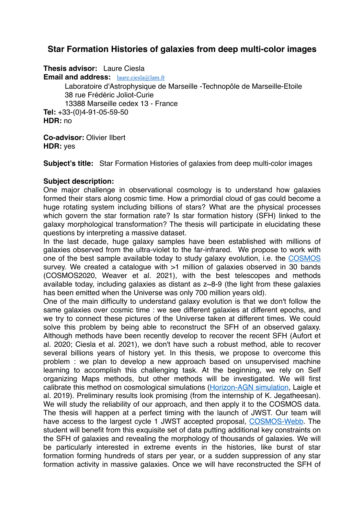# **Star Formation Histories of galaxies from deep multi-color images**

**Thesis advisor:** Laure Ciesla

**Email and address:** [laure.ciesla@lam.fr](mailto:laure.ciesla@lam.fr)

Laboratoire d'Astrophysique de Marseille -Technopôle de Marseille-Etoile 38 rue Frédéric Joliot-Curie

13388 Marseille cedex 13 - France

**Tel:** +33-(0)4-91-05-59-50 **HDR:** no

**Co-advisor:** Olivier Ilbert **HDR:** yes

**Subject's title:** Star Formation Histories of galaxies from deep multi-color images

# **Subject description:**

One major challenge in observational cosmology is to understand how galaxies formed their stars along cosmic time. How a primordial cloud of gas could become a huge rotating system including billions of stars? What are the physical processes which govern the star formation rate? Is star formation history (SFH) linked to the galaxy morphological transformation? The thesis will participate in elucidating these questions by interpreting a massive dataset.

In the last decade, huge galaxy samples have been established with millions of galaxies observed from the ultra-violet to the far-infrared. We propose to work with one of the best sample available today to study galaxy evolution, i.e. the [COSMOS](http://cosmos.astro.caltech.edu/) survey. We created a catalogue with  $>1$  million of galaxies observed in 30 bands (COSMOS2020, Weaver et al. 2021), with the best telescopes and methods available today, including galaxies as distant as z~8-9 (the light from these galaxies has been emitted when the Universe was only 700 million years old).

One of the main difficulty to understand galaxy evolution is that we don't follow the same galaxies over cosmic time : we see different galaxies at different epochs, and we try to connect these pictures of the Universe taken at different times. We could solve this problem by being able to reconstruct the SFH of an observed galaxy. Although methods have been recently develop to recover the recent SFH (Aufort et al. 2020; Ciesla et al. 2021), we don't have such a robust method, able to recover several billions years of history yet. In this thesis, we propose to overcome this problem : we plan to develop a new approach based on unsupervised machine learning to accomplish this challenging task. At the beginning, we rely on Self organizing Maps methods, but other methods will be investigated. We will first calibrate this method on cosmological simulations ([Horizon-AGN simulation,](https://www.horizon-simulation.org/) Laigle et al. 2019). Preliminary results look promising (from the internship of K. Jegatheesan). We will study the reliability of our approach, and then apply it to the COSMOS data. The thesis will happen at a perfect timing with the launch of JWST. Our team will have access to the largest cycle 1 JWST accepted proposal, [COSMOS-Webb.](https://cosmos.astro.caltech.edu/news/76) The student will benefit from this exquisite set of data putting additional key constraints on the SFH of galaxies and revealing the morphology of thousands of galaxies. We will be particularly interested in extreme events in the histories, like burst of star formation forming hundreds of stars per year, or a sudden suppression of any star formation activity in massive galaxies. Once we will have reconstructed the SFH of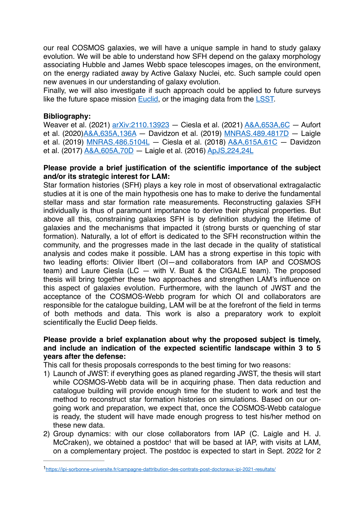our real COSMOS galaxies, we will have a unique sample in hand to study galaxy evolution. We will be able to understand how SFH depend on the galaxy morphology associating Hubble and James Webb space telescopes images, on the environment, on the energy radiated away by Active Galaxy Nuclei, etc. Such sample could open new avenues in our understanding of galaxy evolution.

Finally, we will also investigate if such approach could be applied to future surveys like the future space mission **[Euclid](https://www.euclid-ec.org/)**, or the imaging data from the [LSST.](https://www.lsst.org)

## **Bibliography:**

Weaver et al. (2021) [arXiv:2110.13923](https://ui.adsabs.harvard.edu/abs/2021arXiv211013923W/abstract) — Ciesla et al. (2021) [A&A,653A,6C](https://ui.adsabs.harvard.edu/#abs/2021A%26A...653A...6C/abstract) — Aufort et al. (2020[\)A&A,635A,136A](https://ui.adsabs.harvard.edu/#abs/2020A%26A...635A.136A/abstract) — Davidzon et al. (2019) [MNRAS.489.4817D](https://ui.adsabs.harvard.edu/#abs/2019MNRAS.489.4817D/abstract) — Laigle et al. (2019) [MNRAS.486.5104L](https://ui.adsabs.harvard.edu/#abs/2019MNRAS.486.5104L/abstract) — Ciesla et al. (2018) [A&A,615A,61C](https://ui.adsabs.harvard.edu/#abs/2018A%26A...615A..61C/abstract) — Davidzon et al. (2017) [A&A,605A,70D](https://ui.adsabs.harvard.edu/#abs/2017A%26A...605A..70D/abstract) — Laigle et al. (2016) [ApJS,224,24L](https://ui.adsabs.harvard.edu/#abs/2016ApJS..224...24L/abstract)

#### **Please provide a brief justification of the scientific importance of the subject and/or its strategic interest for LAM:**

Star formation histories (SFH) plays a key role in most of observational extragalactic studies at it is one of the main hypothesis one has to make to derive the fundamental stellar mass and star formation rate measurements. Reconstructing galaxies SFH individually is thus of paramount importance to derive their physical properties. But above all this, constraining galaxies SFH is by definition studying the lifetime of galaxies and the mechanisms that impacted it (strong bursts or quenching of star formation). Naturally, a lot of effort is dedicated to the SFH reconstruction within the community, and the progresses made in the last decade in the quality of statistical analysis and codes make it possible. LAM has a strong expertise in this topic with two leading efforts: Olivier Ilbert (OI—and collaborators from IAP and COSMOS team) and Laure Ciesla (LC — with V. Buat & the CIGALE team). The proposed thesis will bring together these two approaches and strengthen LAM's influence on this aspect of galaxies evolution. Furthermore, with the launch of JWST and the acceptance of the COSMOS-Webb program for which OI and collaborators are responsible for the catalogue building, LAM will be at the forefront of the field in terms of both methods and data. This work is also a preparatory work to exploit scientifically the Euclid Deep fields.

# **Please provide a brief explanation about why the proposed subject is timely, and include an indication of the expected scientific landscape within 3 to 5 years after the defense:**

This call for thesis proposals corresponds to the best timing for two reasons:

- 1) Launch of JWST: if everything goes as planed regarding JWST, the thesis will start while COSMOS-Webb data will be in acquiring phase. Then data reduction and catalogue building will provide enough time for the student to work and test the method to reconstruct star formation histories on simulations. Based on our ongoing work and preparation, we expect that, once the COSMOS-Webb catalogue is ready, the student will have made enough progress to test his/her method on these new data.
- <span id="page-1-1"></span>2) Group dynamics: with our close collaborators from IAP (C. Laigle and H. J. McCraken), we obtained a postdoc<sup>[1](#page-1-0)</sup> that will be based at IAP, with visits at LAM, on a complementary project. The postdoc is expected to start in Sept. 2022 for 2

<span id="page-1-0"></span><https://ipi-sorbonne-universite.fr/campagne-dattribution-des-contrats-post-doctoraux-ipi-2021-resultats/> [1](#page-1-1)